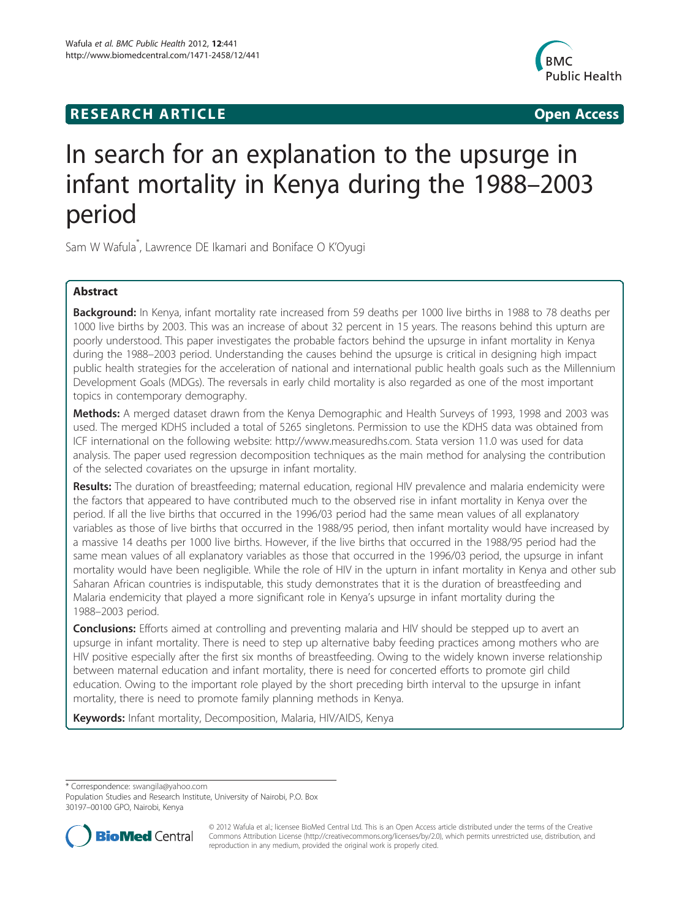# **RESEARCH ARTICLE Example 2008 CONSIDERING CONSIDERING CONSIDERING CONSIDERING CONSIDERING CONSIDERING CONSIDERING CONSIDERING CONSIDERING CONSIDERING CONSIDERING CONSIDERING CONSIDERING CONSIDERING CONSIDERING CONSIDE**



# In search for an explanation to the upsurge in infant mortality in Kenya during the 1988–2003 period

Sam W Wafula\* , Lawrence DE Ikamari and Boniface O K'Oyugi

# Abstract

Background: In Kenya, infant mortality rate increased from 59 deaths per 1000 live births in 1988 to 78 deaths per 1000 live births by 2003. This was an increase of about 32 percent in 15 years. The reasons behind this upturn are poorly understood. This paper investigates the probable factors behind the upsurge in infant mortality in Kenya during the 1988–2003 period. Understanding the causes behind the upsurge is critical in designing high impact public health strategies for the acceleration of national and international public health goals such as the Millennium Development Goals (MDGs). The reversals in early child mortality is also regarded as one of the most important topics in contemporary demography.

Methods: A merged dataset drawn from the Kenya Demographic and Health Surveys of 1993, 1998 and 2003 was used. The merged KDHS included a total of 5265 singletons. Permission to use the KDHS data was obtained from ICF international on the following website:<http://www.measuredhs.com>. Stata version 11.0 was used for data analysis. The paper used regression decomposition techniques as the main method for analysing the contribution of the selected covariates on the upsurge in infant mortality.

Results: The duration of breastfeeding; maternal education, regional HIV prevalence and malaria endemicity were the factors that appeared to have contributed much to the observed rise in infant mortality in Kenya over the period. If all the live births that occurred in the 1996/03 period had the same mean values of all explanatory variables as those of live births that occurred in the 1988/95 period, then infant mortality would have increased by a massive 14 deaths per 1000 live births. However, if the live births that occurred in the 1988/95 period had the same mean values of all explanatory variables as those that occurred in the 1996/03 period, the upsurge in infant mortality would have been negligible. While the role of HIV in the upturn in infant mortality in Kenya and other sub Saharan African countries is indisputable, this study demonstrates that it is the duration of breastfeeding and Malaria endemicity that played a more significant role in Kenya's upsurge in infant mortality during the 1988–2003 period.

**Conclusions:** Efforts aimed at controlling and preventing malaria and HIV should be stepped up to avert an upsurge in infant mortality. There is need to step up alternative baby feeding practices among mothers who are HIV positive especially after the first six months of breastfeeding. Owing to the widely known inverse relationship between maternal education and infant mortality, there is need for concerted efforts to promote girl child education. Owing to the important role played by the short preceding birth interval to the upsurge in infant mortality, there is need to promote family planning methods in Kenya.

Keywords: Infant mortality, Decomposition, Malaria, HIV/AIDS, Kenya

\* Correspondence: [swangila@yahoo.com](mailto:swangila@yahoo.com)

Population Studies and Research Institute, University of Nairobi, P.O. Box 30197–00100 GPO, Nairobi, Kenya



© 2012 Wafula et al.; licensee BioMed Central Ltd. This is an Open Access article distributed under the terms of the Creative Commons Attribution License [\(http://creativecommons.org/licenses/by/2.0\)](http://creativecommons.org/licenses/by/2.0), which permits unrestricted use, distribution, and reproduction in any medium, provided the original work is properly cited.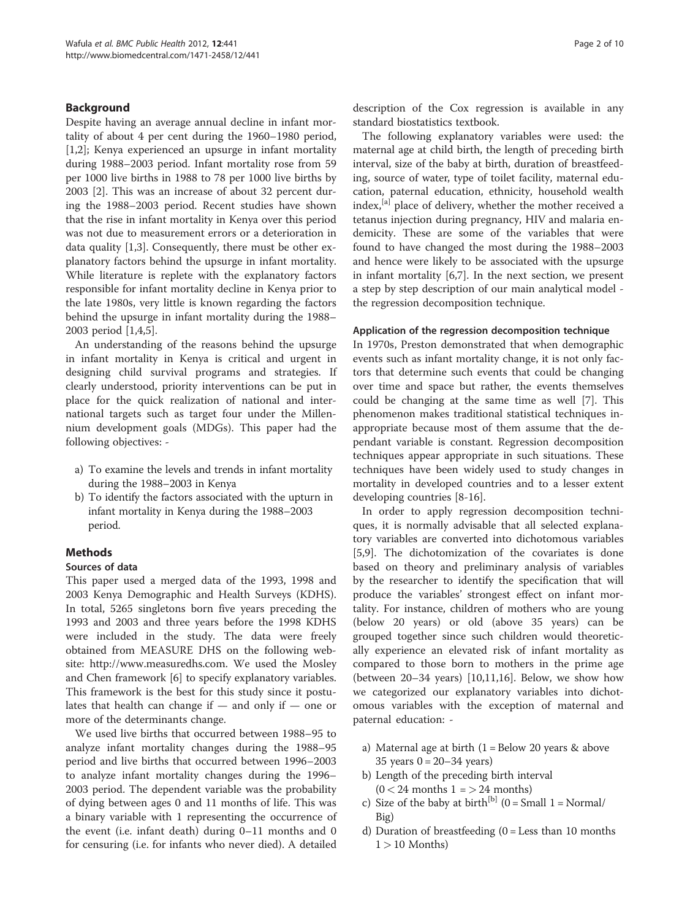### Background

Despite having an average annual decline in infant mortality of about 4 per cent during the 1960–1980 period, [[1,2\]](#page-8-0); Kenya experienced an upsurge in infant mortality during 1988–2003 period. Infant mortality rose from 59 per 1000 live births in 1988 to 78 per 1000 live births by 2003 [\[2\]](#page-8-0). This was an increase of about 32 percent during the 1988–2003 period. Recent studies have shown that the rise in infant mortality in Kenya over this period was not due to measurement errors or a deterioration in data quality [[1,3\]](#page-8-0). Consequently, there must be other explanatory factors behind the upsurge in infant mortality. While literature is replete with the explanatory factors responsible for infant mortality decline in Kenya prior to the late 1980s, very little is known regarding the factors behind the upsurge in infant mortality during the 1988– 2003 period [[1](#page-8-0),[4,5\]](#page-8-0).

An understanding of the reasons behind the upsurge in infant mortality in Kenya is critical and urgent in designing child survival programs and strategies. If clearly understood, priority interventions can be put in place for the quick realization of national and international targets such as target four under the Millennium development goals (MDGs). This paper had the following objectives: -

- a) To examine the levels and trends in infant mortality during the 1988–2003 in Kenya
- b) To identify the factors associated with the upturn in infant mortality in Kenya during the 1988–2003 period.

## **Methods**

#### Sources of data

This paper used a merged data of the 1993, 1998 and 2003 Kenya Demographic and Health Surveys (KDHS). In total, 5265 singletons born five years preceding the 1993 and 2003 and three years before the 1998 KDHS were included in the study. The data were freely obtained from MEASURE DHS on the following website: [http://www.measuredhs.com.](http://www.measuredhs.com) We used the Mosley and Chen framework [[6](#page-8-0)] to specify explanatory variables. This framework is the best for this study since it postulates that health can change if  $-$  and only if  $-$  one or more of the determinants change.

We used live births that occurred between 1988–95 to analyze infant mortality changes during the 1988–95 period and live births that occurred between 1996–2003 to analyze infant mortality changes during the 1996– 2003 period. The dependent variable was the probability of dying between ages 0 and 11 months of life. This was a binary variable with 1 representing the occurrence of the event (i.e. infant death) during 0–11 months and 0 for censuring (i.e. for infants who never died). A detailed description of the Cox regression is available in any standard biostatistics textbook.

The following explanatory variables were used: the maternal age at child birth, the length of preceding birth interval, size of the baby at birth, duration of breastfeeding, source of water, type of toilet facility, maternal education, paternal education, ethnicity, household wealth index, $^{[a]}$  place of delivery, whether the mother received a tetanus injection during pregnancy, HIV and malaria endemicity. These are some of the variables that were found to have changed the most during the 1988–2003 and hence were likely to be associated with the upsurge in infant mortality [[6,7\]](#page-8-0). In the next section, we present a step by step description of our main analytical model the regression decomposition technique.

#### Application of the regression decomposition technique

In 1970s, Preston demonstrated that when demographic events such as infant mortality change, it is not only factors that determine such events that could be changing over time and space but rather, the events themselves could be changing at the same time as well [\[7](#page-8-0)]. This phenomenon makes traditional statistical techniques inappropriate because most of them assume that the dependant variable is constant. Regression decomposition techniques appear appropriate in such situations. These techniques have been widely used to study changes in mortality in developed countries and to a lesser extent developing countries [[8-16](#page-8-0)].

In order to apply regression decomposition techniques, it is normally advisable that all selected explanatory variables are converted into dichotomous variables [[5,9\]](#page-8-0). The dichotomization of the covariates is done based on theory and preliminary analysis of variables by the researcher to identify the specification that will produce the variables' strongest effect on infant mortality. For instance, children of mothers who are young (below 20 years) or old (above 35 years) can be grouped together since such children would theoretically experience an elevated risk of infant mortality as compared to those born to mothers in the prime age (between 20–34 years) [[10](#page-8-0),[11](#page-8-0),[16](#page-8-0)]. Below, we show how we categorized our explanatory variables into dichotomous variables with the exception of maternal and paternal education: -

- a) Maternal age at birth  $(1 =$  Below 20 years & above 35 years  $0 = 20 - 34$  years)
- b) Length of the preceding birth interval  $(0 < 24$  months  $1 = 24$  months)
- c) Size of the baby at birth<sup>[b]</sup> (0 = Small 1 = Normal/ Big)
- d) Duration of breastfeeding  $(0 =$  Less than 10 months  $1 > 10$  Months)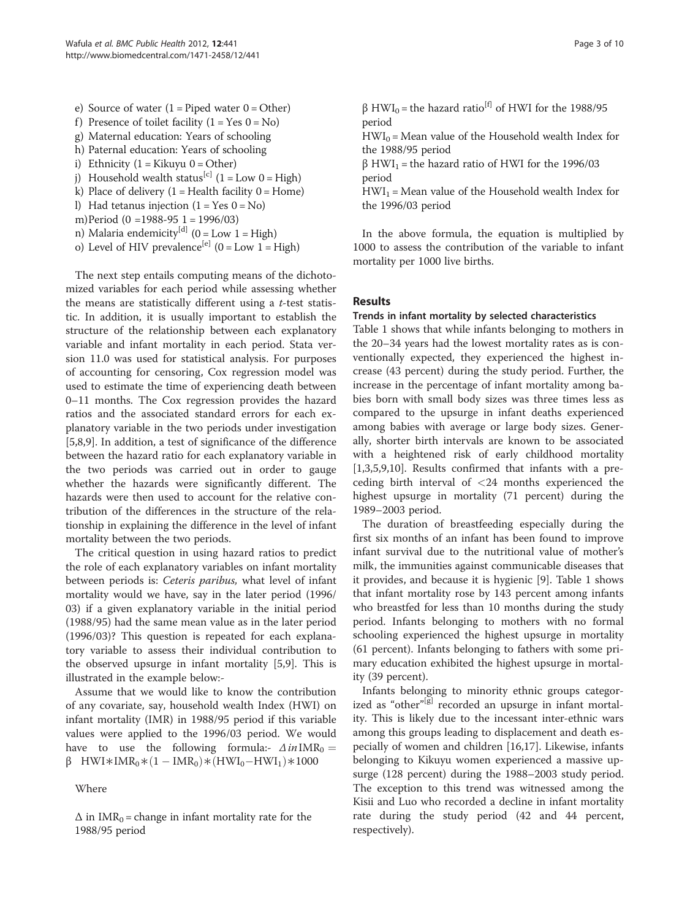- e) Source of water  $(1 =$  Piped water  $0 =$  Other)
- f) Presence of toilet facility  $(1 = Yes \ 0 = No)$
- g) Maternal education: Years of schooling
- h) Paternal education: Years of schooling
- i) Ethnicity ( $1 =$ Kikuyu 0 = Other)
- i) Household wealth status<sup>[c]</sup>  $(1 = Low 0 = High)$
- k) Place of delivery  $(1 =$  Health facility  $0 =$  Home)
- l) Had tetanus injection  $(1 = Yes 0 = No)$
- m)Period (0 =1988-95 1 = 1996/03)
- n) Malaria endemicity<sup>[d]</sup> (0 = Low 1 = High)
- o) Level of HIV prevalence<sup>[e]</sup> (0 = Low 1 = High)

The next step entails computing means of the dichotomized variables for each period while assessing whether the means are statistically different using a t-test statistic. In addition, it is usually important to establish the structure of the relationship between each explanatory variable and infant mortality in each period. Stata version 11.0 was used for statistical analysis. For purposes of accounting for censoring, Cox regression model was used to estimate the time of experiencing death between 0–11 months. The Cox regression provides the hazard ratios and the associated standard errors for each explanatory variable in the two periods under investigation [[5,8,9\]](#page-8-0). In addition, a test of significance of the difference between the hazard ratio for each explanatory variable in the two periods was carried out in order to gauge whether the hazards were significantly different. The hazards were then used to account for the relative contribution of the differences in the structure of the relationship in explaining the difference in the level of infant mortality between the two periods.

The critical question in using hazard ratios to predict the role of each explanatory variables on infant mortality between periods is: Ceteris paribus, what level of infant mortality would we have, say in the later period (1996/ 03) if a given explanatory variable in the initial period (1988/95) had the same mean value as in the later period (1996/03)? This question is repeated for each explanatory variable to assess their individual contribution to the observed upsurge in infant mortality [\[5,9](#page-8-0)]. This is illustrated in the example below:-

Assume that we would like to know the contribution of any covariate, say, household wealth Index (HWI) on infant mortality (IMR) in 1988/95 period if this variable values were applied to the 1996/03 period. We would have to use the following formula:-  $\Delta$ inIMR<sub>0</sub> =  $\beta$  HWI\*IMR<sub>0</sub>\*(1 – IMR<sub>0</sub>)\*(HWI<sub>0</sub>–HWI<sub>1</sub>)\*1000

Where

 $\Delta$  in IMR<sub>0</sub> = change in infant mortality rate for the 1988/95 period

- $HWI_0 = Mean$  value of the Household wealth Index for the 1988/95 period
- $β$  HWI<sub>1</sub> = the hazard ratio of HWI for the 1996/03 period
- $HWI<sub>1</sub> = Mean value of the Household wealth Index for$ the 1996/03 period

In the above formula, the equation is multiplied by 1000 to assess the contribution of the variable to infant mortality per 1000 live births.

#### **Results**

#### Trends in infant mortality by selected characteristics

Table [1](#page-3-0) shows that while infants belonging to mothers in the 20–34 years had the lowest mortality rates as is conventionally expected, they experienced the highest increase (43 percent) during the study period. Further, the increase in the percentage of infant mortality among babies born with small body sizes was three times less as compared to the upsurge in infant deaths experienced among babies with average or large body sizes. Generally, shorter birth intervals are known to be associated with a heightened risk of early childhood mortality [[1,3,5,9,10\]](#page-8-0). Results confirmed that infants with a preceding birth interval of <24 months experienced the highest upsurge in mortality (71 percent) during the 1989–2003 period.

The duration of breastfeeding especially during the first six months of an infant has been found to improve infant survival due to the nutritional value of mother's milk, the immunities against communicable diseases that it provides, and because it is hygienic [[9](#page-8-0)]. Table [1](#page-3-0) shows that infant mortality rose by 143 percent among infants who breastfed for less than 10 months during the study period. Infants belonging to mothers with no formal schooling experienced the highest upsurge in mortality (61 percent). Infants belonging to fathers with some primary education exhibited the highest upsurge in mortality (39 percent).

Infants belonging to minority ethnic groups categorized as "other"<sup>[g]</sup> recorded an upsurge in infant mortality. This is likely due to the incessant inter-ethnic wars among this groups leading to displacement and death especially of women and children [\[16](#page-8-0)[,17](#page-9-0)]. Likewise, infants belonging to Kikuyu women experienced a massive upsurge (128 percent) during the 1988–2003 study period. The exception to this trend was witnessed among the Kisii and Luo who recorded a decline in infant mortality rate during the study period (42 and 44 percent, respectively).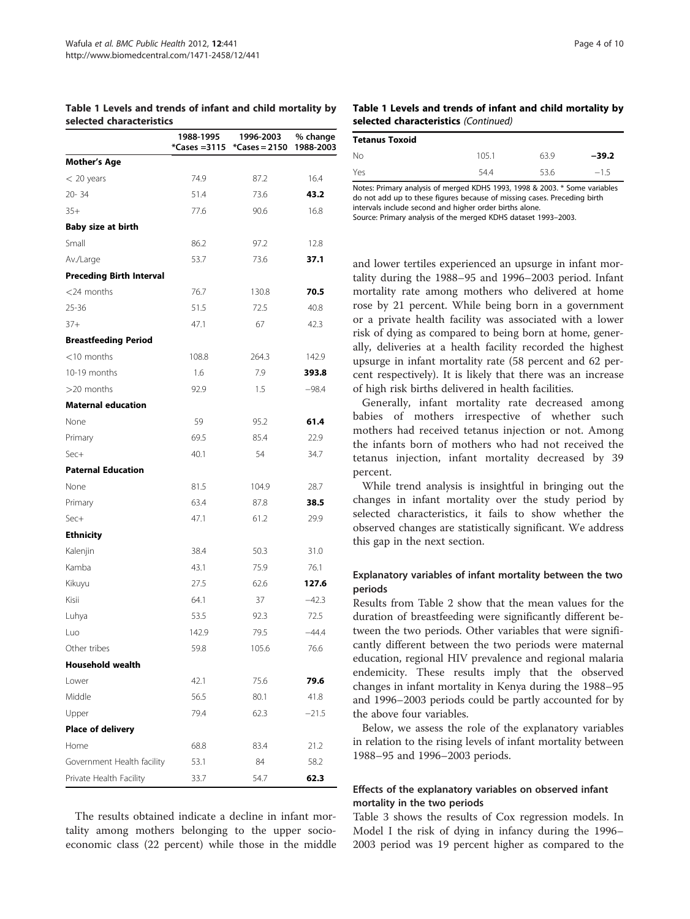<span id="page-3-0"></span>

| Table 1 Levels and trends of infant and child mortality by |  |  |  |
|------------------------------------------------------------|--|--|--|
| selected characteristics                                   |  |  |  |

|                                 | 1988-1995<br>*Cases = 3115 | 1996-2003<br>*Cases = 2150 | % change<br>1988-2003 |
|---------------------------------|----------------------------|----------------------------|-----------------------|
| <b>Mother's Age</b>             |                            |                            |                       |
| $<$ 20 years                    | 74.9                       | 87.2                       | 16.4                  |
| 20-34                           | 51.4                       | 73.6                       | 43.2                  |
| $35+$                           | 77.6                       | 90.6                       | 16.8                  |
| <b>Baby size at birth</b>       |                            |                            |                       |
| Small                           | 86.2                       | 97.2                       | 12.8                  |
| Av./Large                       | 53.7                       | 73.6                       | 37.1                  |
| <b>Preceding Birth Interval</b> |                            |                            |                       |
| $<$ 24 months                   | 76.7                       | 130.8                      | 70.5                  |
| $25 - 36$                       | 51.5                       | 72.5                       | 40.8                  |
| $37+$                           | 47.1                       | 67                         | 42.3                  |
| <b>Breastfeeding Period</b>     |                            |                            |                       |
| $<$ 10 months                   | 108.8                      | 264.3                      | 142.9                 |
| 10-19 months                    | 1.6                        | 7.9                        | 393.8                 |
| $>$ 20 months                   | 92.9                       | 1.5                        | $-98.4$               |
| <b>Maternal education</b>       |                            |                            |                       |
| None                            | 59                         | 95.2                       | 61.4                  |
| Primary                         | 69.5                       | 85.4                       | 22.9                  |
| Sec+                            | 40.1                       | 54                         | 34.7                  |
| <b>Paternal Education</b>       |                            |                            |                       |
| None                            | 81.5                       | 104.9                      | 28.7                  |
| Primary                         | 63.4                       | 87.8                       | 38.5                  |
| Sec+                            | 47.1                       | 61.2                       | 29.9                  |
| <b>Ethnicity</b>                |                            |                            |                       |
| Kalenjin                        | 38.4                       | 50.3                       | 31.0                  |
| Kamba                           | 43.1                       | 75.9                       | 76.1                  |
| Kikuyu                          | 27.5                       | 62.6                       | 127.6                 |
| Kisii                           | 64.1                       | 37                         | $-42.3$               |
| Luhya                           | 53.5                       | 92.3                       | 72.5                  |
| Luo                             | 142.9                      | 79.5                       | $-44.4$               |
| Other tribes                    | 59.8                       | 105.6                      | 76.6                  |
| <b>Household wealth</b>         |                            |                            |                       |
| Lower                           | 42.1                       | 75.6                       | 79.6                  |
| Middle                          | 56.5                       | 80.1                       | 41.8                  |
| Upper                           | 79.4                       | 62.3                       | $-21.5$               |
| Place of delivery               |                            |                            |                       |
| Home                            | 68.8                       | 83.4                       | 21.2                  |
| Government Health facility      | 53.1                       | 84                         | 58.2                  |
| Private Health Facility         | 33.7                       | 54.7                       | 62.3                  |

The results obtained indicate a decline in infant mortality among mothers belonging to the upper socioeconomic class (22 percent) while those in the middle

#### Table 1 Levels and trends of infant and child mortality by selected characteristics (Continued)

| <b>Tetanus Toxoid</b> |       |      |         |
|-----------------------|-------|------|---------|
| No                    | 105.1 | 63.9 | $-39.2$ |
| Yes                   | 54.4  | 53.6 | $-1.5$  |

Notes: Primary analysis of merged KDHS 1993, 1998 & 2003. \* Some variables do not add up to these figures because of missing cases. Preceding birth intervals include second and higher order births alone. Source: Primary analysis of the merged KDHS dataset 1993–2003.

and lower tertiles experienced an upsurge in infant mortality during the 1988–95 and 1996–2003 period. Infant mortality rate among mothers who delivered at home rose by 21 percent. While being born in a government or a private health facility was associated with a lower risk of dying as compared to being born at home, generally, deliveries at a health facility recorded the highest upsurge in infant mortality rate (58 percent and 62 percent respectively). It is likely that there was an increase of high risk births delivered in health facilities.

Generally, infant mortality rate decreased among babies of mothers irrespective of whether such mothers had received tetanus injection or not. Among the infants born of mothers who had not received the tetanus injection, infant mortality decreased by 39 percent.

While trend analysis is insightful in bringing out the changes in infant mortality over the study period by selected characteristics, it fails to show whether the observed changes are statistically significant. We address this gap in the next section.

# Explanatory variables of infant mortality between the two periods

Results from Table [2](#page-4-0) show that the mean values for the duration of breastfeeding were significantly different between the two periods. Other variables that were significantly different between the two periods were maternal education, regional HIV prevalence and regional malaria endemicity. These results imply that the observed changes in infant mortality in Kenya during the 1988–95 and 1996–2003 periods could be partly accounted for by the above four variables.

Below, we assess the role of the explanatory variables in relation to the rising levels of infant mortality between 1988–95 and 1996–2003 periods.

# Effects of the explanatory variables on observed infant mortality in the two periods

Table [3](#page-5-0) shows the results of Cox regression models. In Model I the risk of dying in infancy during the 1996– 2003 period was 19 percent higher as compared to the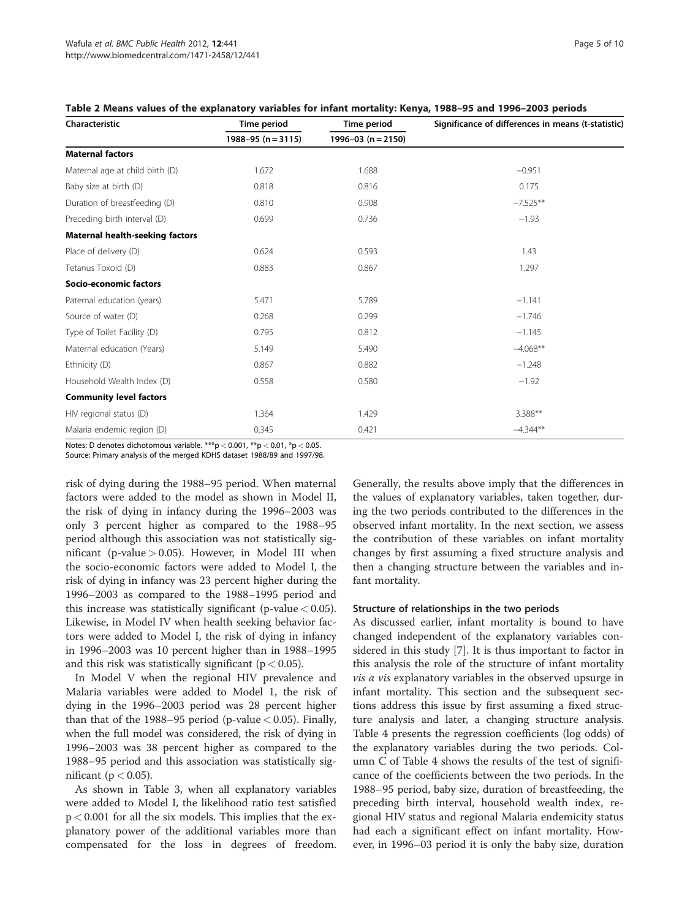| Characteristic                         | Time period            | Time period            | Significance of differences in means (t-statistic) |  |  |
|----------------------------------------|------------------------|------------------------|----------------------------------------------------|--|--|
|                                        | $1988 - 95$ (n = 3115) | 1996-03 ( $n = 2150$ ) |                                                    |  |  |
| <b>Maternal factors</b>                |                        |                        |                                                    |  |  |
| Maternal age at child birth (D)        | 1.672                  | 1.688                  | $-0.951$                                           |  |  |
| Baby size at birth (D)                 | 0.818                  | 0.816                  | 0.175                                              |  |  |
| Duration of breastfeeding (D)          | 0.810                  | 0.908                  | $-7.525**$                                         |  |  |
| Preceding birth interval (D)           | 0.699                  | 0.736                  | $-1.93$                                            |  |  |
| <b>Maternal health-seeking factors</b> |                        |                        |                                                    |  |  |
| Place of delivery (D)                  | 0.624                  | 0.593                  | 1.43                                               |  |  |
| Tetanus Toxoid (D)                     | 0.883                  | 0.867                  | 1.297                                              |  |  |
| Socio-economic factors                 |                        |                        |                                                    |  |  |
| Paternal education (years)             | 5.471                  | 5.789                  | $-1.141$                                           |  |  |
| Source of water (D)                    | 0.268                  | 0.299                  | $-1.746$                                           |  |  |
| Type of Toilet Facility (D)            | 0.795                  | 0.812                  | $-1.145$                                           |  |  |
| Maternal education (Years)             | 5.149                  | 5.490                  | $-4.068**$                                         |  |  |
| Ethnicity (D)                          | 0.867                  | 0.882                  | $-1.248$                                           |  |  |
| Household Wealth Index (D)             | 0.558                  | 0.580                  | $-1.92$                                            |  |  |
| <b>Community level factors</b>         |                        |                        |                                                    |  |  |
| HIV regional status (D)                | 1.364                  | 1.429                  | 3.388**                                            |  |  |
| Malaria endemic region (D)             | 0.345                  | 0.421                  | $-4.344**$                                         |  |  |

<span id="page-4-0"></span>Table 2 Means values of the explanatory variables for infant mortality: Kenya, 1988–95 and 1996–2003 periods

Notes: D denotes dichotomous variable. \*\*\*p < 0.001, \*\*p < 0.01, \*p < 0.05.

Source: Primary analysis of the merged KDHS dataset 1988/89 and 1997/98.

risk of dying during the 1988–95 period. When maternal factors were added to the model as shown in Model II, the risk of dying in infancy during the 1996–2003 was only 3 percent higher as compared to the 1988–95 period although this association was not statistically significant (p-value  $> 0.05$ ). However, in Model III when the socio-economic factors were added to Model I, the risk of dying in infancy was 23 percent higher during the 1996–2003 as compared to the 1988–1995 period and this increase was statistically significant (p-value  $< 0.05$ ). Likewise, in Model IV when health seeking behavior factors were added to Model I, the risk of dying in infancy in 1996–2003 was 10 percent higher than in 1988–1995 and this risk was statistically significant ( $p < 0.05$ ).

In Model V when the regional HIV prevalence and Malaria variables were added to Model 1, the risk of dying in the 1996–2003 period was 28 percent higher than that of the 1988–95 period (p-value  $< 0.05$ ). Finally, when the full model was considered, the risk of dying in 1996–2003 was 38 percent higher as compared to the 1988–95 period and this association was statistically significant ( $p < 0.05$ ).

As shown in Table [3,](#page-5-0) when all explanatory variables were added to Model I, the likelihood ratio test satisfied  $p < 0.001$  for all the six models. This implies that the explanatory power of the additional variables more than compensated for the loss in degrees of freedom. Generally, the results above imply that the differences in the values of explanatory variables, taken together, during the two periods contributed to the differences in the observed infant mortality. In the next section, we assess the contribution of these variables on infant mortality changes by first assuming a fixed structure analysis and then a changing structure between the variables and infant mortality.

#### Structure of relationships in the two periods

As discussed earlier, infant mortality is bound to have changed independent of the explanatory variables considered in this study [[7\]](#page-8-0). It is thus important to factor in this analysis the role of the structure of infant mortality *vis a vis* explanatory variables in the observed upsurge in infant mortality. This section and the subsequent sections address this issue by first assuming a fixed structure analysis and later, a changing structure analysis. Table [4](#page-6-0) presents the regression coefficients (log odds) of the explanatory variables during the two periods. Column C of Table [4](#page-6-0) shows the results of the test of significance of the coefficients between the two periods. In the 1988–95 period, baby size, duration of breastfeeding, the preceding birth interval, household wealth index, regional HIV status and regional Malaria endemicity status had each a significant effect on infant mortality. However, in 1996–03 period it is only the baby size, duration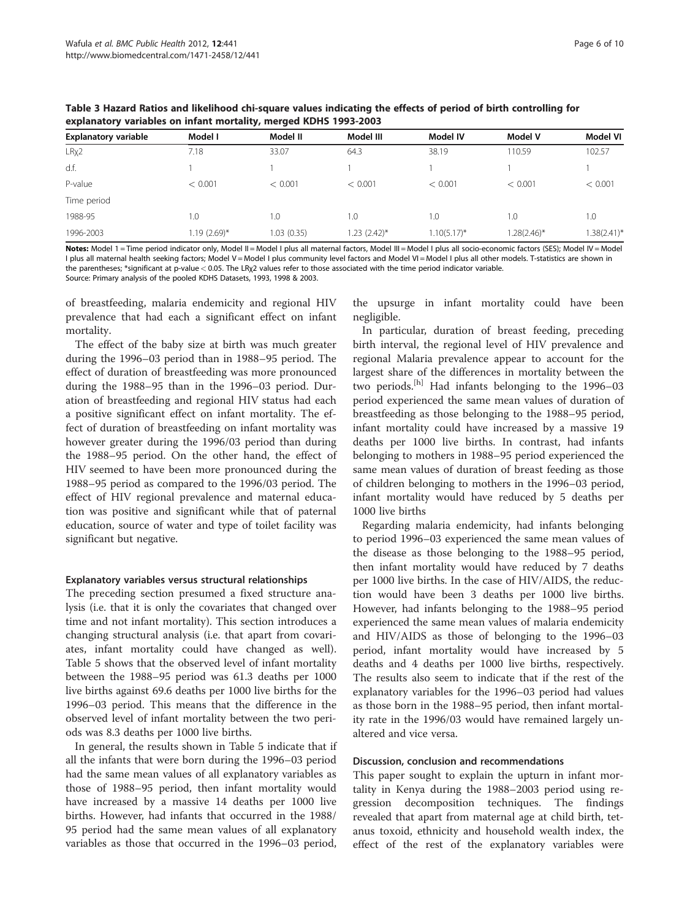| <b>Explanatory variable</b> | Model I      | Model II   | Model III         | Model IV         | Model V       | Model VI      |
|-----------------------------|--------------|------------|-------------------|------------------|---------------|---------------|
| LR <sub>X</sub> 2           | 7.18         | 33.07      | 64.3              | 38.19            | 110.59        | 102.57        |
| d.f.                        |              |            |                   |                  |               |               |
| P-value                     | < 0.001      | < 0.001    | < 0.001           | < 0.001          | < 0.001       | < 0.001       |
| Time period                 |              |            |                   |                  |               |               |
| 1988-95                     | 1.0          | 1.0        | 1.0               | 1.0              | 1.0           | 1.0           |
| 1996-2003                   | 1.19 (2.69)* | 1.03(0.35) | $1.23$ $(2.42)^*$ | $1.10(5.17)^{*}$ | $.28(2.46)$ * | $.38(2.41)^*$ |

<span id="page-5-0"></span>Table 3 Hazard Ratios and likelihood chi-square values indicating the effects of period of birth controlling for explanatory variables on infant mortality, merged KDHS 1993-2003

Notes: Model 1 = Time period indicator only, Model II = Model I plus all maternal factors, Model III = Model I plus all socio-economic factors (SES); Model IV = Model I plus all maternal health seeking factors; Model V = Model I plus community level factors and Model VI = Model I plus all other models. T-statistics are shown in the parentheses; \*significant at p-value < 0.05. The LRχ2 values refer to those associated with the time period indicator variable. Source: Primary analysis of the pooled KDHS Datasets, 1993, 1998 & 2003.

of breastfeeding, malaria endemicity and regional HIV prevalence that had each a significant effect on infant mortality.

The effect of the baby size at birth was much greater during the 1996–03 period than in 1988–95 period. The effect of duration of breastfeeding was more pronounced during the 1988–95 than in the 1996–03 period. Duration of breastfeeding and regional HIV status had each a positive significant effect on infant mortality. The effect of duration of breastfeeding on infant mortality was however greater during the 1996/03 period than during the 1988–95 period. On the other hand, the effect of HIV seemed to have been more pronounced during the 1988–95 period as compared to the 1996/03 period. The effect of HIV regional prevalence and maternal education was positive and significant while that of paternal education, source of water and type of toilet facility was significant but negative.

## Explanatory variables versus structural relationships

The preceding section presumed a fixed structure analysis (i.e. that it is only the covariates that changed over time and not infant mortality). This section introduces a changing structural analysis (i.e. that apart from covariates, infant mortality could have changed as well). Table [5](#page-7-0) shows that the observed level of infant mortality between the 1988–95 period was 61.3 deaths per 1000 live births against 69.6 deaths per 1000 live births for the 1996–03 period. This means that the difference in the observed level of infant mortality between the two periods was 8.3 deaths per 1000 live births.

In general, the results shown in Table [5](#page-7-0) indicate that if all the infants that were born during the 1996–03 period had the same mean values of all explanatory variables as those of 1988–95 period, then infant mortality would have increased by a massive 14 deaths per 1000 live births. However, had infants that occurred in the 1988/ 95 period had the same mean values of all explanatory variables as those that occurred in the 1996–03 period, the upsurge in infant mortality could have been negligible.

In particular, duration of breast feeding, preceding birth interval, the regional level of HIV prevalence and regional Malaria prevalence appear to account for the largest share of the differences in mortality between the two periods.[h] Had infants belonging to the 1996–03 period experienced the same mean values of duration of breastfeeding as those belonging to the 1988–95 period, infant mortality could have increased by a massive 19 deaths per 1000 live births. In contrast, had infants belonging to mothers in 1988–95 period experienced the same mean values of duration of breast feeding as those of children belonging to mothers in the 1996–03 period, infant mortality would have reduced by 5 deaths per 1000 live births

Regarding malaria endemicity, had infants belonging to period 1996–03 experienced the same mean values of the disease as those belonging to the 1988–95 period, then infant mortality would have reduced by 7 deaths per 1000 live births. In the case of HIV/AIDS, the reduction would have been 3 deaths per 1000 live births. However, had infants belonging to the 1988–95 period experienced the same mean values of malaria endemicity and HIV/AIDS as those of belonging to the 1996–03 period, infant mortality would have increased by 5 deaths and 4 deaths per 1000 live births, respectively. The results also seem to indicate that if the rest of the explanatory variables for the 1996–03 period had values as those born in the 1988–95 period, then infant mortality rate in the 1996/03 would have remained largely unaltered and vice versa.

# Discussion, conclusion and recommendations

This paper sought to explain the upturn in infant mortality in Kenya during the 1988–2003 period using regression decomposition techniques. The findings revealed that apart from maternal age at child birth, tetanus toxoid, ethnicity and household wealth index, the effect of the rest of the explanatory variables were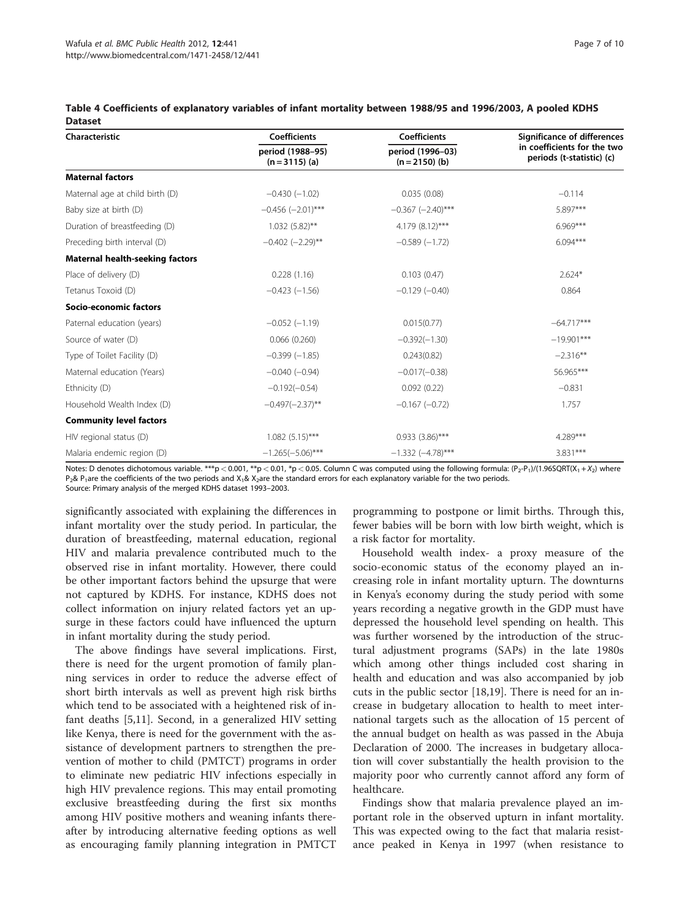| Characteristic                         | <b>Coefficients</b>                  | <b>Coefficients</b>                  | <b>Significance of differences</b><br>in coefficients for the two<br>periods (t-statistic) (c) |  |
|----------------------------------------|--------------------------------------|--------------------------------------|------------------------------------------------------------------------------------------------|--|
|                                        | period (1988-95)<br>$(n = 3115)$ (a) | period (1996-03)<br>$(n = 2150)$ (b) |                                                                                                |  |
| <b>Maternal factors</b>                |                                      |                                      |                                                                                                |  |
| Maternal age at child birth (D)        | $-0.430(-1.02)$                      | 0.035(0.08)                          | $-0.114$                                                                                       |  |
| Baby size at birth (D)                 | $-0.456$ $(-2.01)$ ***               | $-0.367$ $(-2.40)$ ***               | 5.897***                                                                                       |  |
| Duration of breastfeeding (D)          | $1.032(5.82)$ **                     | 4.179 (8.12)***                      | $6.969***$                                                                                     |  |
| Preceding birth interval (D)           | $-0.402$ $(-2.29)$ **                | $-0.589(-1.72)$                      | $6.094***$                                                                                     |  |
| <b>Maternal health-seeking factors</b> |                                      |                                      |                                                                                                |  |
| Place of delivery (D)                  | 0.228(1.16)                          | 0.103(0.47)                          | $2.624*$                                                                                       |  |
| Tetanus Toxoid (D)                     | $-0.423(-1.56)$                      | $-0.129(-0.40)$                      | 0.864                                                                                          |  |
| Socio-economic factors                 |                                      |                                      |                                                                                                |  |
| Paternal education (years)             | $-0.052$ $(-1.19)$                   | 0.015(0.77)                          | $-64.717***$                                                                                   |  |
| Source of water (D)                    | 0.066(0.260)                         | $-0.392(-1.30)$                      | $-19.901***$                                                                                   |  |
| Type of Toilet Facility (D)            | $-0.399(-1.85)$                      | 0.243(0.82)                          | $-2.316**$                                                                                     |  |
| Maternal education (Years)             | $-0.040$ $(-0.94)$                   | $-0.017(-0.38)$                      | 56.965***                                                                                      |  |
| Ethnicity (D)                          | $-0.192(-0.54)$                      | 0.092(0.22)                          | $-0.831$                                                                                       |  |
| Household Wealth Index (D)             | $-0.497(-2.37)$ **                   | $-0.167$ $(-0.72)$                   | 1.757                                                                                          |  |
| <b>Community level factors</b>         |                                      |                                      |                                                                                                |  |
| HIV regional status (D)                | $1.082(5.15)$ ***                    | $0.933$ $(3.86)$ ***                 | $4.289***$                                                                                     |  |
| Malaria endemic region (D)             | $-1.265(-5.06)$ ***                  | $-1.332$ $(-4.78)$ ***               | 3.831***                                                                                       |  |

<span id="page-6-0"></span>Table 4 Coefficients of explanatory variables of infant mortality between 1988/95 and 1996/2003, A pooled KDHS **Dataset** 

Notes: D denotes dichotomous variable. \*\*\*p < 0.001, \*p < 0.01, \*p < 0.05. Column C was computed using the following formula:  $(P_2-P_1)/(1.965QRT(X_1+X_2)$  where P<sub>2</sub>& P<sub>1</sub>are the coefficients of the two periods and  $X_1\& X_2$ are the standard errors for each explanatory variable for the two periods. Source: Primary analysis of the merged KDHS dataset 1993–2003.

significantly associated with explaining the differences in infant mortality over the study period. In particular, the duration of breastfeeding, maternal education, regional HIV and malaria prevalence contributed much to the observed rise in infant mortality. However, there could be other important factors behind the upsurge that were not captured by KDHS. For instance, KDHS does not collect information on injury related factors yet an upsurge in these factors could have influenced the upturn in infant mortality during the study period.

The above findings have several implications. First, there is need for the urgent promotion of family planning services in order to reduce the adverse effect of short birth intervals as well as prevent high risk births which tend to be associated with a heightened risk of infant deaths [\[5,11\]](#page-8-0). Second, in a generalized HIV setting like Kenya, there is need for the government with the assistance of development partners to strengthen the prevention of mother to child (PMTCT) programs in order to eliminate new pediatric HIV infections especially in high HIV prevalence regions. This may entail promoting exclusive breastfeeding during the first six months among HIV positive mothers and weaning infants thereafter by introducing alternative feeding options as well as encouraging family planning integration in PMTCT

programming to postpone or limit births. Through this, fewer babies will be born with low birth weight, which is a risk factor for mortality.

Household wealth index- a proxy measure of the socio-economic status of the economy played an increasing role in infant mortality upturn. The downturns in Kenya's economy during the study period with some years recording a negative growth in the GDP must have depressed the household level spending on health. This was further worsened by the introduction of the structural adjustment programs (SAPs) in the late 1980s which among other things included cost sharing in health and education and was also accompanied by job cuts in the public sector [\[18,19](#page-9-0)]. There is need for an increase in budgetary allocation to health to meet international targets such as the allocation of 15 percent of the annual budget on health as was passed in the Abuja Declaration of 2000. The increases in budgetary allocation will cover substantially the health provision to the majority poor who currently cannot afford any form of healthcare.

Findings show that malaria prevalence played an important role in the observed upturn in infant mortality. This was expected owing to the fact that malaria resistance peaked in Kenya in 1997 (when resistance to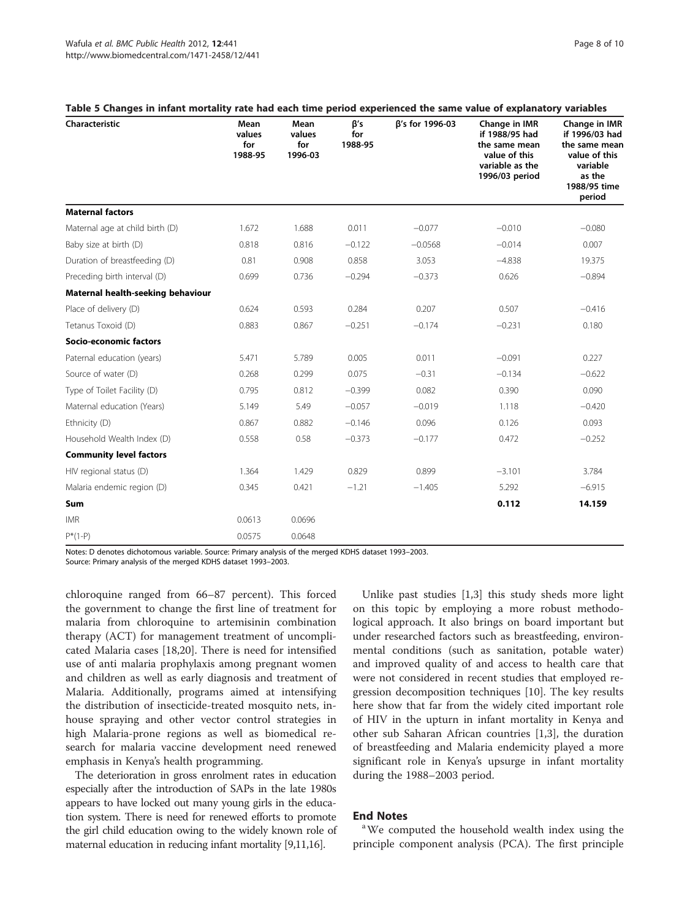| Characteristic                    | Mean<br>values<br>for<br>1988-95 | Mean<br>values<br>for<br>1996-03 | $\beta$ 's<br>for<br>1988-95 | $β's$ for 1996-03 | Change in IMR<br>if 1988/95 had<br>the same mean<br>value of this<br>variable as the<br>1996/03 period | Change in IMR<br>if 1996/03 had<br>the same mean<br>value of this<br>variable<br>as the<br>1988/95 time<br>period |
|-----------------------------------|----------------------------------|----------------------------------|------------------------------|-------------------|--------------------------------------------------------------------------------------------------------|-------------------------------------------------------------------------------------------------------------------|
| <b>Maternal factors</b>           |                                  |                                  |                              |                   |                                                                                                        |                                                                                                                   |
| Maternal age at child birth (D)   | 1.672                            | 1.688                            | 0.011                        | $-0.077$          | $-0.010$                                                                                               | $-0.080$                                                                                                          |
| Baby size at birth (D)            | 0.818                            | 0.816                            | $-0.122$                     | $-0.0568$         | $-0.014$                                                                                               | 0.007                                                                                                             |
| Duration of breastfeeding (D)     | 0.81                             | 0.908                            | 0.858                        | 3.053             | $-4.838$                                                                                               | 19.375                                                                                                            |
| Preceding birth interval (D)      | 0.699                            | 0.736                            | $-0.294$                     | $-0.373$          | 0.626                                                                                                  | $-0.894$                                                                                                          |
| Maternal health-seeking behaviour |                                  |                                  |                              |                   |                                                                                                        |                                                                                                                   |
| Place of delivery (D)             | 0.624                            | 0.593                            | 0.284                        | 0.207             | 0.507                                                                                                  | $-0.416$                                                                                                          |
| Tetanus Toxoid (D)                | 0.883                            | 0.867                            | $-0.251$                     | $-0.174$          | $-0.231$                                                                                               | 0.180                                                                                                             |
| Socio-economic factors            |                                  |                                  |                              |                   |                                                                                                        |                                                                                                                   |
| Paternal education (years)        | 5.471                            | 5.789                            | 0.005                        | 0.011             | $-0.091$                                                                                               | 0.227                                                                                                             |
| Source of water (D)               | 0.268                            | 0.299                            | 0.075                        | $-0.31$           | $-0.134$                                                                                               | $-0.622$                                                                                                          |
| Type of Toilet Facility (D)       | 0.795                            | 0.812                            | $-0.399$                     | 0.082             | 0.390                                                                                                  | 0.090                                                                                                             |
| Maternal education (Years)        | 5.149                            | 5.49                             | $-0.057$                     | $-0.019$          | 1.118                                                                                                  | $-0.420$                                                                                                          |
| Ethnicity (D)                     | 0.867                            | 0.882                            | $-0.146$                     | 0.096             | 0.126                                                                                                  | 0.093                                                                                                             |
| Household Wealth Index (D)        | 0.558                            | 0.58                             | $-0.373$                     | $-0.177$          | 0.472                                                                                                  | $-0.252$                                                                                                          |
| <b>Community level factors</b>    |                                  |                                  |                              |                   |                                                                                                        |                                                                                                                   |
| HIV regional status (D)           | 1.364                            | 1.429                            | 0.829                        | 0.899             | $-3.101$                                                                                               | 3.784                                                                                                             |
| Malaria endemic region (D)        | 0.345                            | 0.421                            | $-1.21$                      | $-1.405$          | 5.292                                                                                                  | $-6.915$                                                                                                          |
| Sum                               |                                  |                                  |                              |                   | 0.112                                                                                                  | 14.159                                                                                                            |
| <b>IMR</b>                        | 0.0613                           | 0.0696                           |                              |                   |                                                                                                        |                                                                                                                   |
| $P*(1-P)$                         | 0.0575                           | 0.0648                           |                              |                   |                                                                                                        |                                                                                                                   |

#### <span id="page-7-0"></span>Table 5 Changes in infant mortality rate had each time period experienced the same value of explanatory variables

Notes: D denotes dichotomous variable. Source: Primary analysis of the merged KDHS dataset 1993–2003.

Source: Primary analysis of the merged KDHS dataset 1993–2003.

chloroquine ranged from 66–87 percent). This forced the government to change the first line of treatment for malaria from chloroquine to artemisinin combination therapy (ACT) for management treatment of uncomplicated Malaria cases [\[18,20\]](#page-9-0). There is need for intensified use of anti malaria prophylaxis among pregnant women and children as well as early diagnosis and treatment of Malaria. Additionally, programs aimed at intensifying the distribution of insecticide-treated mosquito nets, inhouse spraying and other vector control strategies in high Malaria-prone regions as well as biomedical research for malaria vaccine development need renewed emphasis in Kenya's health programming.

The deterioration in gross enrolment rates in education especially after the introduction of SAPs in the late 1980s appears to have locked out many young girls in the education system. There is need for renewed efforts to promote the girl child education owing to the widely known role of maternal education in reducing infant mortality [\[9,11,16\]](#page-8-0).

Unlike past studies [[1,3\]](#page-8-0) this study sheds more light on this topic by employing a more robust methodological approach. It also brings on board important but under researched factors such as breastfeeding, environmental conditions (such as sanitation, potable water) and improved quality of and access to health care that were not considered in recent studies that employed regression decomposition techniques [\[10](#page-8-0)]. The key results here show that far from the widely cited important role of HIV in the upturn in infant mortality in Kenya and other sub Saharan African countries [\[1,3](#page-8-0)], the duration of breastfeeding and Malaria endemicity played a more significant role in Kenya's upsurge in infant mortality during the 1988–2003 period.

# **End Notes**

<sup>a</sup>We computed the household wealth index using the principle component analysis (PCA). The first principle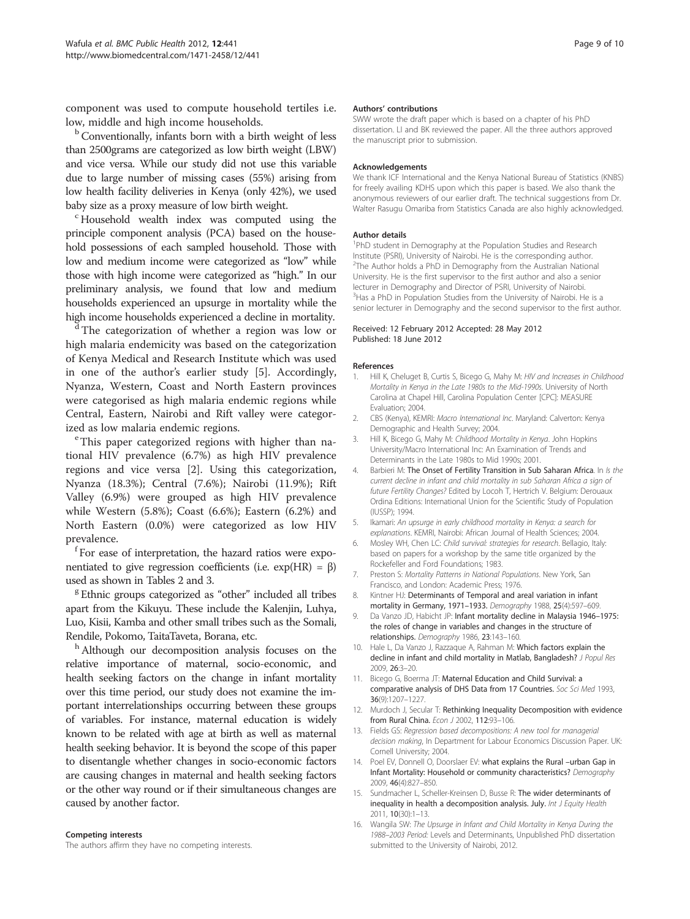<span id="page-8-0"></span>component was used to compute household tertiles i.e. low, middle and high income households.

 $b$  Conventionally, infants born with a birth weight of less than 2500grams are categorized as low birth weight (LBW) and vice versa. While our study did not use this variable due to large number of missing cases (55%) arising from low health facility deliveries in Kenya (only 42%), we used

baby size as a proxy measure of low birth weight.<br><sup>c</sup> Household wealth index was computed using the principle component analysis (PCA) based on the household possessions of each sampled household. Those with low and medium income were categorized as "low" while those with high income were categorized as "high." In our preliminary analysis, we found that low and medium households experienced an upsurge in mortality while the high income households experienced a decline in mortality.

<sup>d</sup>The categorization of whether a region was low or high malaria endemicity was based on the categorization of Kenya Medical and Research Institute which was used in one of the author's earlier study [5]. Accordingly, Nyanza, Western, Coast and North Eastern provinces were categorised as high malaria endemic regions while Central, Eastern, Nairobi and Rift valley were categorized as low malaria endemic regions.

This paper categorized regions with higher than national HIV prevalence (6.7%) as high HIV prevalence regions and vice versa [2]. Using this categorization, Nyanza (18.3%); Central (7.6%); Nairobi (11.9%); Rift Valley (6.9%) were grouped as high HIV prevalence while Western (5.8%); Coast (6.6%); Eastern (6.2%) and North Eastern (0.0%) were categorized as low HIV prevalence.

f For ease of interpretation, the hazard ratios were exponentiated to give regression coefficients (i.e.  $exp(HR) = β$ ) used as shown in Tables [2](#page-4-0) and [3.](#page-5-0)

<sup>g</sup> Ethnic groups categorized as "other" included all tribes apart from the Kikuyu. These include the Kalenjin, Luhya, Luo, Kisii, Kamba and other small tribes such as the Somali, Rendile, Pokomo, TaitaTaveta, Borana, etc.

h Although our decomposition analysis focuses on the relative importance of maternal, socio-economic, and health seeking factors on the change in infant mortality over this time period, our study does not examine the important interrelationships occurring between these groups of variables. For instance, maternal education is widely known to be related with age at birth as well as maternal health seeking behavior. It is beyond the scope of this paper to disentangle whether changes in socio-economic factors are causing changes in maternal and health seeking factors or the other way round or if their simultaneous changes are caused by another factor.

#### Competing interests

The authors affirm they have no competing interests.

#### Authors' contributions

SWW wrote the draft paper which is based on a chapter of his PhD dissertation. LI and BK reviewed the paper. All the three authors approved the manuscript prior to submission.

#### Acknowledgements

We thank ICF International and the Kenya National Bureau of Statistics (KNBS) for freely availing KDHS upon which this paper is based. We also thank the anonymous reviewers of our earlier draft. The technical suggestions from Dr. Walter Rasugu Omariba from Statistics Canada are also highly acknowledged.

#### Author details

<sup>1</sup>PhD student in Demography at the Population Studies and Research Institute (PSRI), University of Nairobi. He is the corresponding author. <sup>2</sup>The Author holds a PhD in Demography from the Australian National University. He is the first supervisor to the first author and also a senior lecturer in Demography and Director of PSRI, University of Nairobi. <sup>3</sup> Has a PhD in Population Studies from the University of Nairobi. He is a senior lecturer in Demography and the second supervisor to the first author.

#### Received: 12 February 2012 Accepted: 28 May 2012 Published: 18 June 2012

#### References

- 1. Hill K, Cheluget B, Curtis S, Bicego G, Mahy M: HIV and Increases in Childhood Mortality in Kenya in the Late 1980s to the Mid-1990s. University of North Carolina at Chapel Hill, Carolina Population Center [CPC]: MEASURE Evaluation; 2004.
- 2. CBS (Kenya), KEMRI: Macro International Inc. Maryland: Calverton: Kenya Demographic and Health Survey; 2004.
- 3. Hill K, Bicego G, Mahy M: Childhood Mortality in Kenya. John Hopkins University/Macro International Inc: An Examination of Trends and Determinants in the Late 1980s to Mid 1990s; 2001.
- 4. Barbieri M: The Onset of Fertility Transition in Sub Saharan Africa. In Is the current decline in infant and child mortality in sub Saharan Africa a sign of future Fertility Changes? Edited by Locoh T, Hertrich V. Belgium: Derouaux Ordina Editions: International Union for the Scientific Study of Population (IUSSP); 1994.
- 5. Ikamari: An upsurge in early childhood mortality in Kenya: a search for explanations. KEMRI, Nairobi: African Journal of Health Sciences; 2004.
- 6. Mosley WH, Chen LC: Child survival: strategies for research. Bellagio, Italy: based on papers for a workshop by the same title organized by the Rockefeller and Ford Foundations; 1983.
- 7. Preston S: Mortality Patterns in National Populations. New York, San Francisco, and London: Academic Press; 1976.
- 8. Kintner HJ: Determinants of Temporal and areal variation in infant mortality in Germany, 1971–1933. Demography 1988, 25(4):597–609.
- 9. Da Vanzo JD, Habicht JP: Infant mortality decline in Malaysia 1946-1975: the roles of change in variables and changes in the structure of relationships. Demography 1986, 23:143–160.
- 10. Hale L, Da Vanzo J, Razzaque A, Rahman M: Which factors explain the decline in infant and child mortality in Matlab, Bangladesh? J Popul Res 2009, 26:3–20.
- 11. Bicego G, Boerma JT: Maternal Education and Child Survival: a comparative analysis of DHS Data from 17 Countries. Soc Sci Med 1993, 36(9):1207–1227.
- 12. Murdoch J, Secular T: Rethinking Inequality Decomposition with evidence from Rural China. Econ J 2002, 112:93-106.
- 13. Fields GS: Regression based decompositions: A new tool for managerial decision making, In Department for Labour Economics Discussion Paper. UK: Cornell University; 2004.
- 14. Poel EV, Donnell O, Doorslaer EV: what explains the Rural -urban Gap in Infant Mortality: Household or community characteristics? Demography 2009, 46(4):827–850.
- 15. Sundmacher L, Scheller-Kreinsen D, Busse R: The wider determinants of inequality in health a decomposition analysis. July. Int J Equity Health 2011, 10(30):1–13.
- 16. Wangila SW: The Upsurge in Infant and Child Mortality in Kenya During the 1988–2003 Period: Levels and Determinants, Unpublished PhD dissertation submitted to the University of Nairobi, 2012.